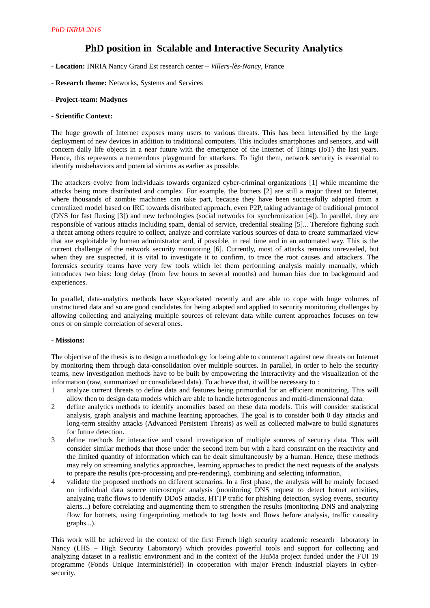# **PhD position in Scalable and Interactive Security Analytics**

- **Location:** INRIA Nancy Grand Est research center *Villers-lès-Nancy*, France
- **Research theme:** Networks, Systems and Services
- **Project-team: Madynes**
- **Scientific Context:**

The huge growth of Internet exposes many users to various threats. This has been intensified by the large deployment of new devices in addition to traditional computers. This includes smartphones and sensors, and will concern daily life objects in a near future with the emergence of the Internet of Things (IoT) the last years. Hence, this represents a tremendous playground for attackers. To fight them, network security is essential to identify misbehaviors and potential victims as earlier as possible.

The attackers evolve from individuals towards organized cyber-criminal organizations [1] while meantime the attacks being more distributed and complex. For example, the botnets [2] are still a major threat on Internet, where thousands of zombie machines can take part, because they have been successfully adapted from a centralized model based on IRC towards distributed approach, even P2P, taking advantage of traditional protocol (DNS for fast fluxing [3]) and new technologies (social networks for synchronization [4]). In parallel, they are responsible of various attacks including spam, denial of service, credential stealing [5]... Therefore fighting such a threat among others require to collect, analyze and correlate various sources of data to create summarized view that are exploitable by human administrator and, if possible, in real time and in an automated way. This is the current challenge of the network security monitoring [6]. Currently, most of attacks remains unrevealed, but when they are suspected, it is vital to investigate it to confirm, to trace the root causes and attackers. The forensics security teams have very few tools which let them performing analysis mainly manually, which introduces two bias: long delay (from few hours to several months) and human bias due to background and experiences.

In parallel, data-analytics methods have skyrocketed recently and are able to cope with huge volumes of unstructured data and so are good candidates for being adapted and applied to security monitoring challenges by allowing collecting and analyzing multiple sources of relevant data while current approaches focuses on few ones or on simple correlation of several ones.

# **- Missions:**

The objective of the thesis is to design a methodology for being able to counteract against new threats on Internet by monitoring them through data-consolidation over multiple sources. In parallel, in order to help the security teams, new investigation methods have to be built by empowering the interactivity and the visualization of the information (raw, summarized or consolidated data). To achieve that, it will be necessary to :

- 1 analyze current threats to define data and features being primordial for an efficient monitoring. This will allow then to design data models which are able to handle heterogeneous and multi-dimensionnal data.
- 2 define analytics methods to identify anomalies based on these data models. This will consider statistical analysis, graph analysis and machine learning approaches. The goal is to consider both 0 day attacks and long-term stealthy attacks (Advanced Persistent Threats) as well as collected malware to build signatures for future detection.
- 3 define methods for interactive and visual investigation of multiple sources of security data. This will consider similar methods that those under the second item but with a hard constraint on the reactivity and the limited quantity of information which can be dealt simultaneously by a human. Hence, these methods may rely on streaming analytics approaches, learning approaches to predict the next requests of the analysts to prepare the results (pre-processing and pre-rendering), combining and selecting information,
- 4 validate the proposed methods on different scenarios. In a first phase, the analysis will be mainly focused on individual data source microscopic analysis (monitoring DNS request to detect botnet activities, analyzing trafic flows to identify DDoS attacks, HTTP trafic for phishing detection, syslog events, security alerts...) before correlating and augmenting them to strengthen the results (monitoring DNS and analyzing flow for botnets, using fingerprinting methods to tag hosts and flows before analysis, traffic causality graphs...).

This work will be achieved in the context of the first French high security academic research laboratory in Nancy (LHS – High Security Laboratory) which provides powerful tools and support for collecting and analyzing dataset in a realistic environment and in the context of the HuMa project funded under the FUI 19 programme (Fonds Unique Interministériel) in cooperation with major French industrial players in cybersecurity.